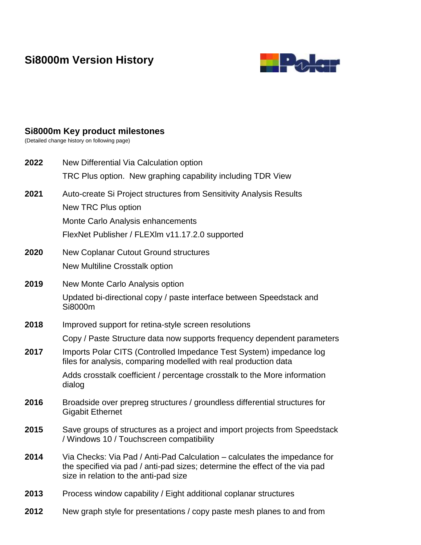# **Si8000m Version History**



# **Si8000m Key product milestones**

(Detailed change history on following page)

| 2022 | New Differential Via Calculation option<br>TRC Plus option. New graphing capability including TDR View                                                                                            |
|------|---------------------------------------------------------------------------------------------------------------------------------------------------------------------------------------------------|
| 2021 | Auto-create Si Project structures from Sensitivity Analysis Results<br>New TRC Plus option<br>Monte Carlo Analysis enhancements<br>FlexNet Publisher / FLEXIm v11.17.2.0 supported                |
| 2020 | New Coplanar Cutout Ground structures<br><b>New Multiline Crosstalk option</b>                                                                                                                    |
| 2019 | New Monte Carlo Analysis option                                                                                                                                                                   |
|      | Updated bi-directional copy / paste interface between Speedstack and<br>Si8000m                                                                                                                   |
| 2018 | Improved support for retina-style screen resolutions                                                                                                                                              |
|      | Copy / Paste Structure data now supports frequency dependent parameters                                                                                                                           |
| 2017 | Imports Polar CITS (Controlled Impedance Test System) impedance log<br>files for analysis, comparing modelled with real production data                                                           |
|      | Adds crosstalk coefficient / percentage crosstalk to the More information<br>dialog                                                                                                               |
| 2016 | Broadside over prepreg structures / groundless differential structures for<br><b>Gigabit Ethernet</b>                                                                                             |
| 2015 | Save groups of structures as a project and import projects from Speedstack<br>/ Windows 10 / Touchscreen compatibility                                                                            |
| 2014 | Via Checks: Via Pad / Anti-Pad Calculation – calculates the impedance for<br>the specified via pad / anti-pad sizes; determine the effect of the via pad<br>size in relation to the anti-pad size |
| 2013 | Process window capability / Eight additional coplanar structures                                                                                                                                  |
| 2012 | New graph style for presentations / copy paste mesh planes to and from                                                                                                                            |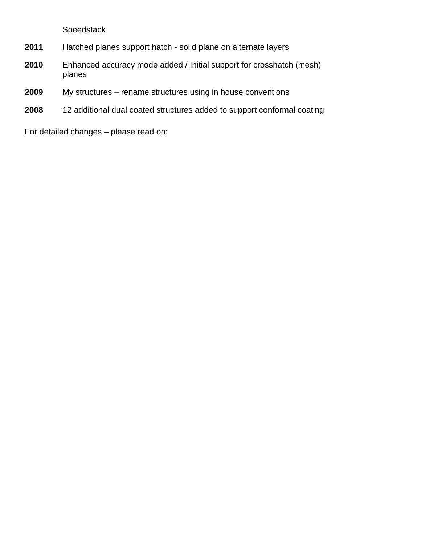Speedstack

- **2011** Hatched planes support hatch solid plane on alternate layers
- **2010** Enhanced accuracy mode added / Initial support for crosshatch (mesh) planes
- **2009** My structures rename structures using in house conventions
- **2008** 12 additional dual coated structures added to support conformal coating

For detailed changes – please read on: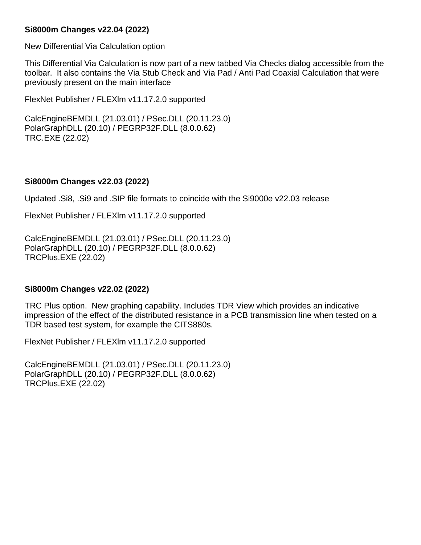# **Si8000m Changes v22.04 (2022)**

New Differential Via Calculation option

This Differential Via Calculation is now part of a new tabbed Via Checks dialog accessible from the toolbar. It also contains the Via Stub Check and Via Pad / Anti Pad Coaxial Calculation that were previously present on the main interface

FlexNet Publisher / FLEXlm v11.17.2.0 supported

CalcEngineBEMDLL (21.03.01) / PSec.DLL (20.11.23.0) PolarGraphDLL (20.10) / PEGRP32F.DLL (8.0.0.62) TRC.EXE (22.02)

#### **Si8000m Changes v22.03 (2022)**

Updated .Si8, .Si9 and .SIP file formats to coincide with the Si9000e v22.03 release

FlexNet Publisher / FLEXlm v11.17.2.0 supported

CalcEngineBEMDLL (21.03.01) / PSec.DLL (20.11.23.0) PolarGraphDLL (20.10) / PEGRP32F.DLL (8.0.0.62) TRCPlus.EXE (22.02)

#### **Si8000m Changes v22.02 (2022)**

TRC Plus option. New graphing capability. Includes TDR View which provides an indicative impression of the effect of the distributed resistance in a PCB transmission line when tested on a TDR based test system, for example the CITS880s.

FlexNet Publisher / FLEXlm v11.17.2.0 supported

CalcEngineBEMDLL (21.03.01) / PSec.DLL (20.11.23.0) PolarGraphDLL (20.10) / PEGRP32F.DLL (8.0.0.62) TRCPlus.EXE (22.02)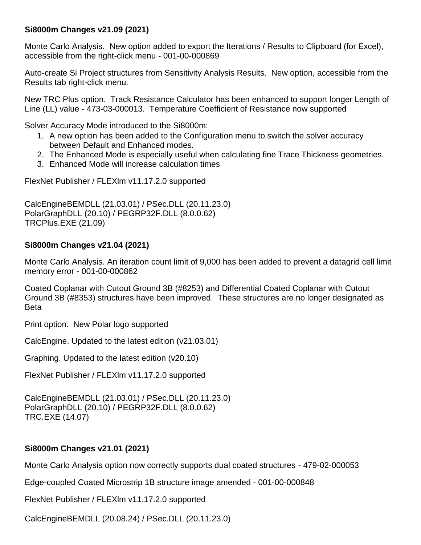# **Si8000m Changes v21.09 (2021)**

Monte Carlo Analysis. New option added to export the Iterations / Results to Clipboard (for Excel), accessible from the right-click menu - 001-00-000869

Auto-create Si Project structures from Sensitivity Analysis Results. New option, accessible from the Results tab right-click menu.

New TRC Plus option. Track Resistance Calculator has been enhanced to support longer Length of Line (LL) value - 473-03-000013. Temperature Coefficient of Resistance now supported

Solver Accuracy Mode introduced to the Si8000m:

- 1. A new option has been added to the Configuration menu to switch the solver accuracy between Default and Enhanced modes.
- 2. The Enhanced Mode is especially useful when calculating fine Trace Thickness geometries.
- 3. Enhanced Mode will increase calculation times

FlexNet Publisher / FLEXlm v11.17.2.0 supported

CalcEngineBEMDLL (21.03.01) / PSec.DLL (20.11.23.0) PolarGraphDLL (20.10) / PEGRP32F.DLL (8.0.0.62) TRCPlus.EXE (21.09)

# **Si8000m Changes v21.04 (2021)**

Monte Carlo Analysis. An iteration count limit of 9,000 has been added to prevent a datagrid cell limit memory error - 001-00-000862

Coated Coplanar with Cutout Ground 3B (#8253) and Differential Coated Coplanar with Cutout Ground 3B (#8353) structures have been improved. These structures are no longer designated as Beta

Print option. New Polar logo supported

CalcEngine. Updated to the latest edition (v21.03.01)

Graphing. Updated to the latest edition (v20.10)

FlexNet Publisher / FLEXlm v11.17.2.0 supported

CalcEngineBEMDLL (21.03.01) / PSec.DLL (20.11.23.0) PolarGraphDLL (20.10) / PEGRP32F.DLL (8.0.0.62) TRC.EXE (14.07)

# **Si8000m Changes v21.01 (2021)**

Monte Carlo Analysis option now correctly supports dual coated structures - 479-02-000053

Edge-coupled Coated Microstrip 1B structure image amended - 001-00-000848

FlexNet Publisher / FLEXlm v11.17.2.0 supported

CalcEngineBEMDLL (20.08.24) / PSec.DLL (20.11.23.0)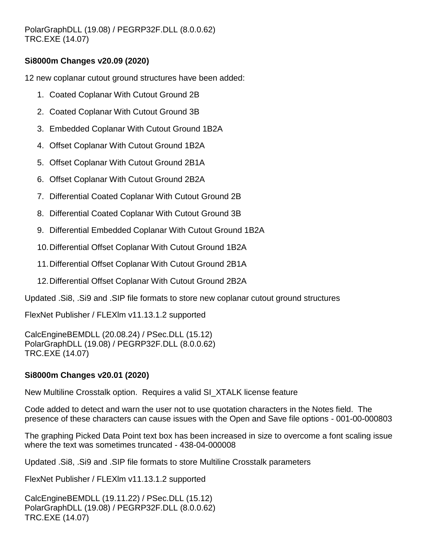# **Si8000m Changes v20.09 (2020)**

12 new coplanar cutout ground structures have been added:

- 1. Coated Coplanar With Cutout Ground 2B
- 2. Coated Coplanar With Cutout Ground 3B
- 3. Embedded Coplanar With Cutout Ground 1B2A
- 4. Offset Coplanar With Cutout Ground 1B2A
- 5. Offset Coplanar With Cutout Ground 2B1A
- 6. Offset Coplanar With Cutout Ground 2B2A
- 7. Differential Coated Coplanar With Cutout Ground 2B
- 8. Differential Coated Coplanar With Cutout Ground 3B
- 9. Differential Embedded Coplanar With Cutout Ground 1B2A
- 10.Differential Offset Coplanar With Cutout Ground 1B2A
- 11.Differential Offset Coplanar With Cutout Ground 2B1A
- 12.Differential Offset Coplanar With Cutout Ground 2B2A

Updated .Si8, .Si9 and .SIP file formats to store new coplanar cutout ground structures

FlexNet Publisher / FLEXlm v11.13.1.2 supported

CalcEngineBEMDLL (20.08.24) / PSec.DLL (15.12) PolarGraphDLL (19.08) / PEGRP32F.DLL (8.0.0.62) TRC.EXE (14.07)

# **Si8000m Changes v20.01 (2020)**

New Multiline Crosstalk option. Requires a valid SI\_XTALK license feature

Code added to detect and warn the user not to use quotation characters in the Notes field. The presence of these characters can cause issues with the Open and Save file options - 001-00-000803

The graphing Picked Data Point text box has been increased in size to overcome a font scaling issue where the text was sometimes truncated - 438-04-000008

Updated .Si8, .Si9 and .SIP file formats to store Multiline Crosstalk parameters

FlexNet Publisher / FLEXlm v11.13.1.2 supported

CalcEngineBEMDLL (19.11.22) / PSec.DLL (15.12) PolarGraphDLL (19.08) / PEGRP32F.DLL (8.0.0.62) TRC.EXE (14.07)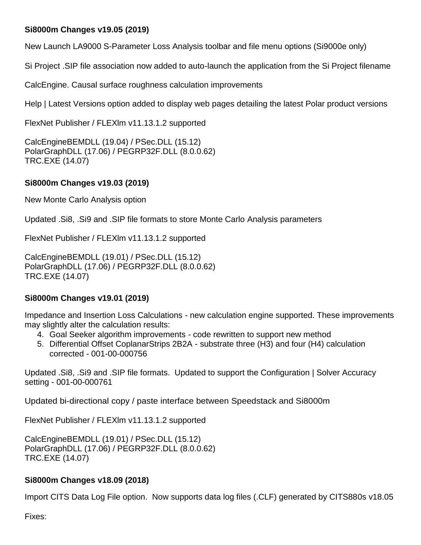# **Si8000m Changes v19.05 (2019)**

New Launch LA9000 S-Parameter Loss Analysis toolbar and file menu options (Si9000e only)

Si Project .SIP file association now added to auto-launch the application from the Si Project filename

CalcEngine. Causal surface roughness calculation improvements

Help | Latest Versions option added to display web pages detailing the latest Polar product versions

FlexNet Publisher / FLEXlm v11.13.1.2 supported

CalcEngineBEMDLL (19.04) / PSec.DLL (15.12) PolarGraphDLL (17.06) / PEGRP32F.DLL (8.0.0.62) TRC.EXE (14.07)

# **Si8000m Changes v19.03 (2019)**

New Monte Carlo Analysis option

Updated .Si8, .Si9 and .SIP file formats to store Monte Carlo Analysis parameters

FlexNet Publisher / FLEXlm v11.13.1.2 supported

CalcEngineBEMDLL (19.01) / PSec.DLL (15.12) PolarGraphDLL (17.06) / PEGRP32F.DLL (8.0.0.62) TRC.EXE (14.07)

# **Si8000m Changes v19.01 (2019)**

Impedance and Insertion Loss Calculations - new calculation engine supported. These improvements may slightly alter the calculation results:

- 4. Goal Seeker algorithm improvements code rewritten to support new method
- 5. Differential Offset CoplanarStrips 2B2A substrate three (H3) and four (H4) calculation corrected - 001-00-000756

Updated .Si8, .Si9 and .SIP file formats. Updated to support the Configuration | Solver Accuracy setting - 001-00-000761

Updated bi-directional copy / paste interface between Speedstack and Si8000m

FlexNet Publisher / FLEXlm v11.13.1.2 supported

CalcEngineBEMDLL (19.01) / PSec.DLL (15.12) PolarGraphDLL (17.06) / PEGRP32F.DLL (8.0.0.62) TRC.EXE (14.07)

# **Si8000m Changes v18.09 (2018)**

Import CITS Data Log File option. Now supports data log files (.CLF) generated by CITS880s v18.05

Fixes: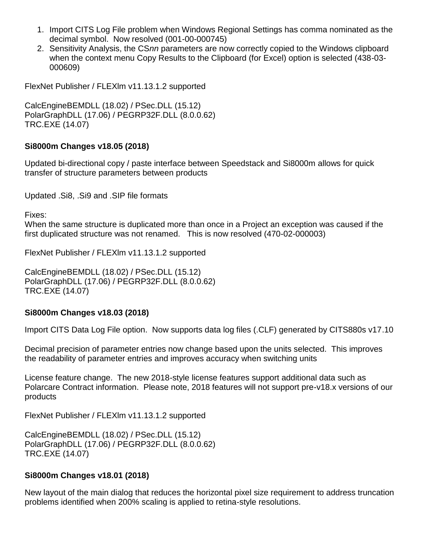- 1. Import CITS Log File problem when Windows Regional Settings has comma nominated as the decimal symbol. Now resolved (001-00-000745)
- 2. Sensitivity Analysis, the CS*nn* parameters are now correctly copied to the Windows clipboard when the context menu Copy Results to the Clipboard (for Excel) option is selected (438-03- 000609)

FlexNet Publisher / FLEXlm v11.13.1.2 supported

CalcEngineBEMDLL (18.02) / PSec.DLL (15.12) PolarGraphDLL (17.06) / PEGRP32F.DLL (8.0.0.62) TRC.EXE (14.07)

#### **Si8000m Changes v18.05 (2018)**

Updated bi-directional copy / paste interface between Speedstack and Si8000m allows for quick transfer of structure parameters between products

Updated .Si8, .Si9 and .SIP file formats

Fixes:

When the same structure is duplicated more than once in a Project an exception was caused if the first duplicated structure was not renamed. This is now resolved (470-02-000003)

FlexNet Publisher / FLEXlm v11.13.1.2 supported

CalcEngineBEMDLL (18.02) / PSec.DLL (15.12) PolarGraphDLL (17.06) / PEGRP32F.DLL (8.0.0.62) TRC.EXE (14.07)

#### **Si8000m Changes v18.03 (2018)**

Import CITS Data Log File option. Now supports data log files (.CLF) generated by CITS880s v17.10

Decimal precision of parameter entries now change based upon the units selected. This improves the readability of parameter entries and improves accuracy when switching units

License feature change. The new 2018-style license features support additional data such as Polarcare Contract information. Please note, 2018 features will not support pre-v18.x versions of our products

FlexNet Publisher / FLEXlm v11.13.1.2 supported

CalcEngineBEMDLL (18.02) / PSec.DLL (15.12) PolarGraphDLL (17.06) / PEGRP32F.DLL (8.0.0.62) TRC.EXE (14.07)

#### **Si8000m Changes v18.01 (2018)**

New layout of the main dialog that reduces the horizontal pixel size requirement to address truncation problems identified when 200% scaling is applied to retina-style resolutions.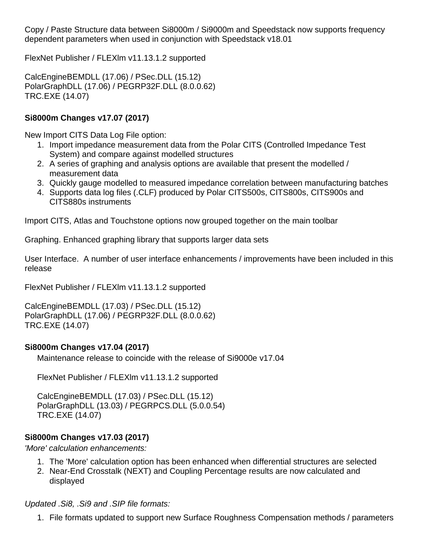Copy / Paste Structure data between Si8000m / Si9000m and Speedstack now supports frequency dependent parameters when used in conjunction with Speedstack v18.01

FlexNet Publisher / FLEXlm v11.13.1.2 supported

CalcEngineBEMDLL (17.06) / PSec.DLL (15.12) PolarGraphDLL (17.06) / PEGRP32F.DLL (8.0.0.62) TRC.EXE (14.07)

### **Si8000m Changes v17.07 (2017)**

New Import CITS Data Log File option:

- 1. Import impedance measurement data from the Polar CITS (Controlled Impedance Test System) and compare against modelled structures
- 2. A series of graphing and analysis options are available that present the modelled / measurement data
- 3. Quickly gauge modelled to measured impedance correlation between manufacturing batches
- 4. Supports data log files (.CLF) produced by Polar CITS500s, CITS800s, CITS900s and CITS880s instruments

Import CITS, Atlas and Touchstone options now grouped together on the main toolbar

Graphing. Enhanced graphing library that supports larger data sets

User Interface. A number of user interface enhancements / improvements have been included in this release

FlexNet Publisher / FLEXlm v11.13.1.2 supported

CalcEngineBEMDLL (17.03) / PSec.DLL (15.12) PolarGraphDLL (17.06) / PEGRP32F.DLL (8.0.0.62) TRC.EXE (14.07)

#### **Si8000m Changes v17.04 (2017)**

Maintenance release to coincide with the release of Si9000e v17.04

FlexNet Publisher / FLEXlm v11.13.1.2 supported

CalcEngineBEMDLL (17.03) / PSec.DLL (15.12) PolarGraphDLL (13.03) / PEGRPCS.DLL (5.0.0.54) TRC.EXE (14.07)

# **Si8000m Changes v17.03 (2017)**

*'More' calculation enhancements:*

- 1. The 'More' calculation option has been enhanced when differential structures are selected
- 2. Near-End Crosstalk (NEXT) and Coupling Percentage results are now calculated and displayed

#### *Updated .Si8, .Si9 and .SIP file formats:*

1. File formats updated to support new Surface Roughness Compensation methods / parameters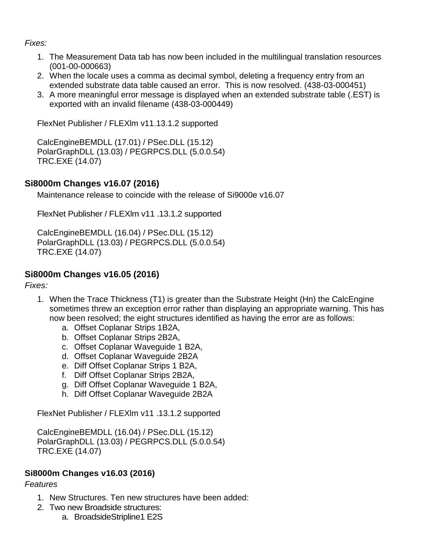### *Fixes:*

- 1. The Measurement Data tab has now been included in the multilingual translation resources (001-00-000663)
- 2. When the locale uses a comma as decimal symbol, deleting a frequency entry from an extended substrate data table caused an error. This is now resolved. (438-03-000451)
- 3. A more meaningful error message is displayed when an extended substrate table (.EST) is exported with an invalid filename (438-03-000449)

FlexNet Publisher / FLEXlm v11.13.1.2 supported

CalcEngineBEMDLL (17.01) / PSec.DLL (15.12) PolarGraphDLL (13.03) / PEGRPCS.DLL (5.0.0.54) TRC.EXE (14.07)

# **Si8000m Changes v16.07 (2016)**

Maintenance release to coincide with the release of Si9000e v16.07

FlexNet Publisher / FLEXlm v11 .13.1.2 supported

CalcEngineBEMDLL (16.04) / PSec.DLL (15.12) PolarGraphDLL (13.03) / PEGRPCS.DLL (5.0.0.54) TRC.EXE (14.07)

# **Si8000m Changes v16.05 (2016)**

*Fixes:*

- 1. When the Trace Thickness (T1) is greater than the Substrate Height (Hn) the CalcEngine sometimes threw an exception error rather than displaying an appropriate warning. This has now been resolved; the eight structures identified as having the error are as follows:
	- a. Offset Coplanar Strips 1B2A,
	- b. Offset Coplanar Strips 2B2A,
	- c. Offset Coplanar Waveguide 1 B2A,
	- d. Offset Coplanar Waveguide 2B2A
	- e. Diff Offset Coplanar Strips 1 B2A,
	- f. Diff Offset Coplanar Strips 2B2A,
	- g. Diff Offset Coplanar Waveguide 1 B2A,
	- h. Diff Offset Coplanar Waveguide 2B2A

FlexNet Publisher / FLEXlm v11 .13.1.2 supported

CalcEngineBEMDLL (16.04) / PSec.DLL (15.12) PolarGraphDLL (13.03) / PEGRPCS.DLL (5.0.0.54) TRC.EXE (14.07)

# **Si8000m Changes v16.03 (2016)**

- 1. New Structures. Ten new structures have been added:
- 2. Two new Broadside structures:
	- a. BroadsideStripline1 E2S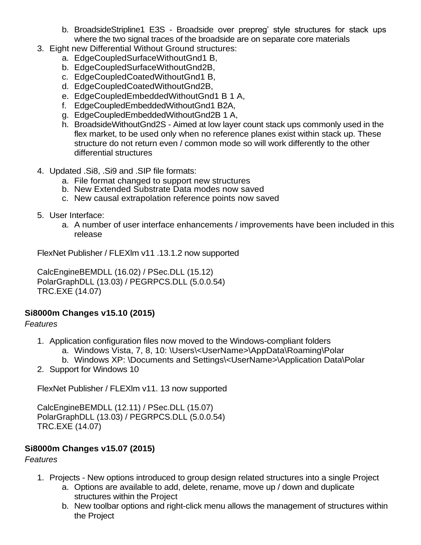- b. BroadsideStripline1 E3S Broadside over prepreg' style structures for stack ups where the two signal traces of the broadside are on separate core materials
- 3. Eight new Differential Without Ground structures:
	- a. EdgeCoupledSurfaceWithoutGnd1 B,
	- b. EdgeCoupledSurfaceWithoutGnd2B,
	- c. EdgeCoupledCoatedWithoutGnd1 B,
	- d. EdgeCoupledCoatedWithoutGnd2B,
	- e. EdgeCoupledEmbeddedWithoutGnd1 B 1 A,
	- f. EdgeCoupledEmbeddedWithoutGnd1 B2A,
	- g. EdgeCoupledEmbeddedWithoutGnd2B 1 A,
	- h. BroadsideWithoutGnd2S Aimed at low layer count stack ups commonly used in the flex market, to be used only when no reference planes exist within stack up. These structure do not return even / common mode so will work differently to the other differential structures
- 4. Updated .Si8, .Si9 and .SIP file formats:
	- a. File format changed to support new structures
	- b. New Extended Substrate Data modes now saved
	- c. New causal extrapolation reference points now saved
- 5. User Interface:
	- a. A number of user interface enhancements / improvements have been included in this release

FlexNet Publisher / FLEXlm v11 .13.1.2 now supported

CalcEngineBEMDLL (16.02) / PSec.DLL (15.12) PolarGraphDLL (13.03) / PEGRPCS.DLL (5.0.0.54) TRC.EXE (14.07)

# **Si8000m Changes v15.10 (2015)**

# *Features*

- 1. Application configuration files now moved to the Windows-compliant folders
	- a. Windows Vista, 7, 8, 10: \Users\<UserName>\AppData\Roaming\Polar
	- b. Windows XP: \Documents and Settings\<UserName>\Application Data\Polar
- 2. Support for Windows 10

FlexNet Publisher / FLEXlm v11. 13 now supported

CalcEngineBEMDLL (12.11) / PSec.DLL (15.07) PolarGraphDLL (13.03) / PEGRPCS.DLL (5.0.0.54) TRC.EXE (14.07)

# **Si8000m Changes v15.07 (2015)**

- 1. Projects New options introduced to group design related structures into a single Project
	- a. Options are available to add, delete, rename, move up / down and duplicate structures within the Project
	- b. New toolbar options and right-click menu allows the management of structures within the Project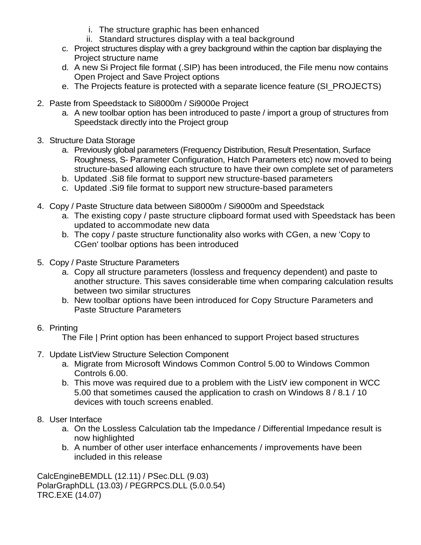- i. The structure graphic has been enhanced
- ii. Standard structures display with a teal background
- c. Project structures display with a grey background within the caption bar displaying the Project structure name
- d. A new Si Project file format (.SIP) has been introduced, the File menu now contains Open Project and Save Project options
- e. The Projects feature is protected with a separate licence feature (SI\_PROJECTS)
- 2. Paste from Speedstack to Si8000m / Si9000e Project
	- a. A new toolbar option has been introduced to paste / import a group of structures from Speedstack directly into the Project group
- 3. Structure Data Storage
	- a. Previously global parameters (Frequency Distribution, Result Presentation, Surface Roughness, S- Parameter Configuration, Hatch Parameters etc) now moved to being structure-based allowing each structure to have their own complete set of parameters
	- b. Updated .Si8 file format to support new structure-based parameters
	- c. Updated .Si9 file format to support new structure-based parameters
- 4. Copy / Paste Structure data between Si8000m / Si9000m and Speedstack
	- a. The existing copy / paste structure clipboard format used with Speedstack has been updated to accommodate new data
	- b. The copy / paste structure functionality also works with CGen, a new 'Copy to CGen' toolbar options has been introduced
- 5. Copy / Paste Structure Parameters
	- a. Copy all structure parameters (lossless and frequency dependent) and paste to another structure. This saves considerable time when comparing calculation results between two similar structures
	- b. New toolbar options have been introduced for Copy Structure Parameters and Paste Structure Parameters

# 6. Printing

The File | Print option has been enhanced to support Project based structures

- 7. Update ListView Structure Selection Component
	- a. Migrate from Microsoft Windows Common Control 5.00 to Windows Common Controls 6.00.
	- b. This move was required due to a problem with the ListV iew component in WCC 5.00 that sometimes caused the application to crash on Windows 8 / 8.1 / 10 devices with touch screens enabled.
- 8. User Interface
	- a. On the Lossless Calculation tab the Impedance / Differential Impedance result is now highlighted
	- b. A number of other user interface enhancements / improvements have been included in this release

CalcEngineBEMDLL (12.11) / PSec.DLL (9.03) PolarGraphDLL (13.03) / PEGRPCS.DLL (5.0.0.54) TRC.EXE (14.07)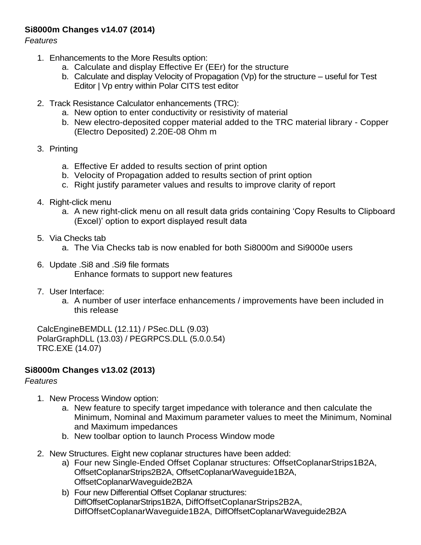# **Si8000m Changes v14.07 (2014)**

*Features*

- 1. Enhancements to the More Results option:
	- a. Calculate and display Effective Er (EEr) for the structure
	- b. Calculate and display Velocity of Propagation (Vp) for the structure useful for Test Editor | Vp entry within Polar CITS test editor
- 2. Track Resistance Calculator enhancements (TRC):
	- a. New option to enter conductivity or resistivity of material
	- b. New electro-deposited copper material added to the TRC material library Copper (Electro Deposited) 2.20E-08 Ohm m
- 3. Printing
	- a. Effective Er added to results section of print option
	- b. Velocity of Propagation added to results section of print option
	- c. Right justify parameter values and results to improve clarity of report
- 4. Right-click menu
	- a. A new right-click menu on all result data grids containing 'Copy Results to Clipboard (Excel)' option to export displayed result data
- 5. Via Checks tab
	- a. The Via Checks tab is now enabled for both Si8000m and Si9000e users
- 6. Update .Si8 and .Si9 file formats Enhance formats to support new features
- 7. User Interface:
	- a. A number of user interface enhancements / improvements have been included in this release

CalcEngineBEMDLL (12.11) / PSec.DLL (9.03) PolarGraphDLL (13.03) / PEGRPCS.DLL (5.0.0.54) TRC.EXE (14.07)

# **Si8000m Changes v13.02 (2013)**

- 1. New Process Window option:
	- a. New feature to specify target impedance with tolerance and then calculate the Minimum, Nominal and Maximum parameter values to meet the Minimum, Nominal and Maximum impedances
	- b. New toolbar option to launch Process Window mode
- 2. New Structures. Eight new coplanar structures have been added:
	- a) Four new Single-Ended Offset Coplanar structures: OffsetCoplanarStrips1B2A, OffsetCoplanarStrips2B2A, OffsetCoplanarWaveguide1B2A, OffsetCoplanarWaveguide2B2A
	- b) Four new Differential Offset Coplanar structures: DiffOffsetCoplanarStrips1B2A, DiffOffsetCoplanarStrips2B2A, DiffOffsetCoplanarWaveguide1B2A, DiffOffsetCoplanarWaveguide2B2A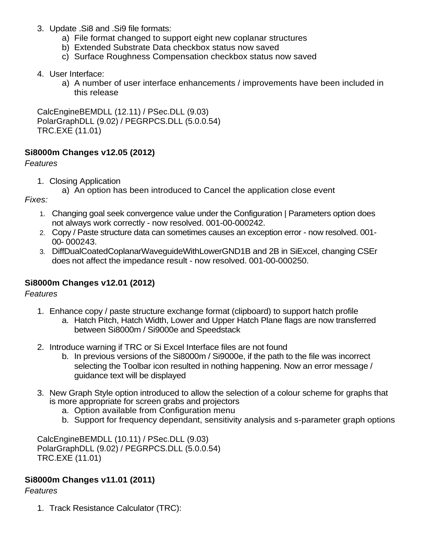- 3. Update .Si8 and .Si9 file formats:
	- a) File format changed to support eight new coplanar structures
	- b) Extended Substrate Data checkbox status now saved
	- c) Surface Roughness Compensation checkbox status now saved
- 4. User Interface:
	- a) A number of user interface enhancements / improvements have been included in this release

CalcEngineBEMDLL (12.11) / PSec.DLL (9.03) PolarGraphDLL (9.02) / PEGRPCS.DLL (5.0.0.54) TRC.EXE (11.01)

### **Si8000m Changes v12.05 (2012)**

#### *Features*

- 1. Closing Application
	- a) An option has been introduced to Cancel the application close event

*Fixes:*

- 1. Changing goal seek convergence value under the Configuration | Parameters option does not always work correctly - now resolved. 001-00-000242.
- 2. Copy / Paste structure data can sometimes causes an exception error now resolved. 001- 00- 000243.
- 3. DiffDualCoatedCoplanarWaveguideWithLowerGND1B and 2B in SiExcel, changing CSEr does not affect the impedance result - now resolved. 001-00-000250.

# **Si8000m Changes v12.01 (2012)**

#### *Features*

- 1. Enhance copy / paste structure exchange format (clipboard) to support hatch profile
	- a. Hatch Pitch, Hatch Width, Lower and Upper Hatch Plane flags are now transferred between Si8000m / Si9000e and Speedstack
- 2. Introduce warning if TRC or Si Excel Interface files are not found
	- b. In previous versions of the Si8000m / Si9000e, if the path to the file was incorrect selecting the Toolbar icon resulted in nothing happening. Now an error message / guidance text will be displayed
- 3. New Graph Style option introduced to allow the selection of a colour scheme for graphs that is more appropriate for screen grabs and projectors
	- a. Option available from Configuration menu
	- b. Support for frequency dependant, sensitivity analysis and s-parameter graph options

CalcEngineBEMDLL (10.11) / PSec.DLL (9.03) PolarGraphDLL (9.02) / PEGRPCS.DLL (5.0.0.54) TRC.EXE (11.01)

# **Si8000m Changes v11.01 (2011)**

# *Features*

1. Track Resistance Calculator (TRC):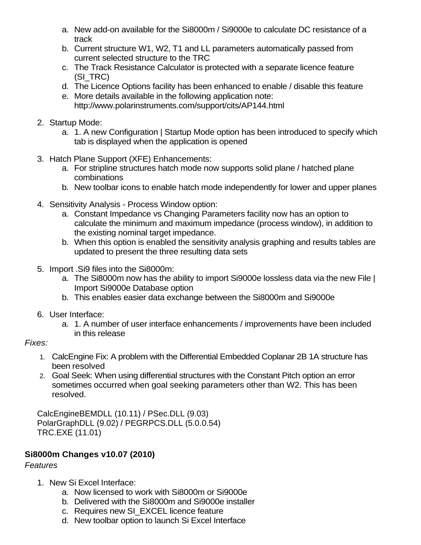- a. New add-on available for the Si8000m / Si9000e to calculate DC resistance of a track
- b. Current structure W1, W2, T1 and LL parameters automatically passed from current selected structure to the TRC
- c. The Track Resistance Calculator is protected with a separate licence feature (SI\_TRC)
- d. The Licence Options facility has been enhanced to enable / disable this feature
- e. More details available in the following application note: <http://www.polarinstruments.com/support/cits/AP144.html>
- 2. Startup Mode:
	- a. 1. A new Configuration | Startup Mode option has been introduced to specify which tab is displayed when the application is opened
- 3. Hatch Plane Support (XFE) Enhancements:
	- a. For stripline structures hatch mode now supports solid plane / hatched plane combinations
	- b. New toolbar icons to enable hatch mode independently for lower and upper planes
- 4. Sensitivity Analysis Process Window option:
	- a. Constant Impedance vs Changing Parameters facility now has an option to calculate the minimum and maximum impedance (process window), in addition to the existing nominal target impedance.
	- b. When this option is enabled the sensitivity analysis graphing and results tables are updated to present the three resulting data sets
- 5. Import .Si9 files into the Si8000m:
	- a. The Si8000m now has the ability to import Si9000e lossless data via the new File | Import Si9000e Database option
	- b. This enables easier data exchange between the Si8000m and Si9000e
- 6. User Interface:
	- a. 1. A number of user interface enhancements / improvements have been included in this release

#### *Fixes:*

- 1. CalcEngine Fix: A problem with the Differential Embedded Coplanar 2B 1A structure has been resolved
- 2. Goal Seek: When using differential structures with the Constant Pitch option an error sometimes occurred when goal seeking parameters other than W2. This has been resolved.

CalcEngineBEMDLL (10.11) / PSec.DLL (9.03) PolarGraphDLL (9.02) / PEGRPCS.DLL (5.0.0.54) TRC.EXE (11.01)

# **Si8000m Changes v10.07 (2010)**

- 1. New Si Excel Interface:
	- a. Now licensed to work with Si8000m or Si9000e
	- b. Delivered with the Si8000m and Si9000e installer
	- c. Requires new SI\_EXCEL licence feature
	- d. New toolbar option to launch Si Excel Interface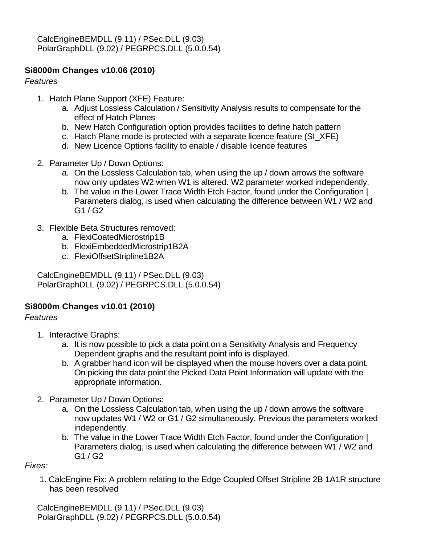# **Si8000m Changes v10.06 (2010)**

*Features*

- 1. Hatch Plane Support (XFE) Feature:
	- a. Adjust Lossless Calculation / Sensitivity Analysis results to compensate for the effect of Hatch Planes
	- b. New Hatch Configuration option provides facilities to define hatch pattern
	- c. Hatch Plane mode is protected with a separate licence feature (SI\_XFE)
	- d. New Licence Options facility to enable / disable licence features
- 2. Parameter Up / Down Options:
	- a. On the Lossless Calculation tab, when using the up / down arrows the software now only updates W2 when W1 is altered. W2 parameter worked independently.
	- b. The value in the Lower Trace Width Etch Factor, found under the Configuration | Parameters dialog, is used when calculating the difference between W1 / W2 and G1 / G2
- 3. Flexible Beta Structures removed:
	- a. FlexiCoatedMicrostrip1B
	- b. FlexiEmbeddedMicrostrip1B2A
	- c. FlexiOffsetStripline1B2A

CalcEngineBEMDLL (9.11) / PSec.DLL (9.03) PolarGraphDLL (9.02) / PEGRPCS.DLL (5.0.0.54)

# **Si8000m Changes v10.01 (2010)**

# *Features*

- 1. Interactive Graphs:
	- a. It is now possible to pick a data point on a Sensitivity Analysis and Frequency Dependent graphs and the resultant point info is displayed.
	- b. A grabber hand icon will be displayed when the mouse hovers over a data point. On picking the data point the Picked Data Point Information will update with the appropriate information.
- 2. Parameter Up / Down Options:
	- a. On the Lossless Calculation tab, when using the up / down arrows the software now updates W1 / W2 or G1 / G2 simultaneously. Previous the parameters worked independently.
	- b. The value in the Lower Trace Width Etch Factor, found under the Configuration | Parameters dialog, is used when calculating the difference between W1 / W2 and G1 / G2

*Fixes:*

1. CalcEngine Fix: A problem relating to the Edge Coupled Offset Stripline 2B 1A1R structure has been resolved

CalcEngineBEMDLL (9.11) / PSec.DLL (9.03) PolarGraphDLL (9.02) / PEGRPCS.DLL (5.0.0.54)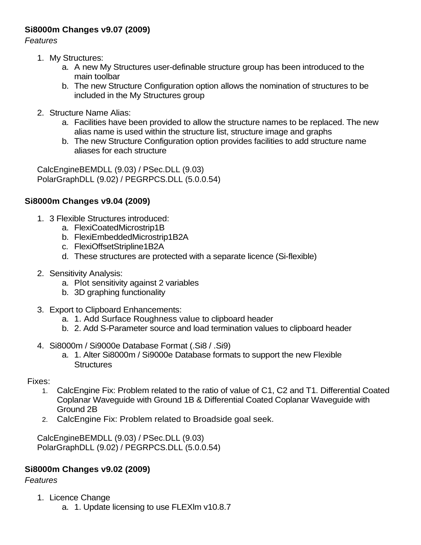# **Si8000m Changes v9.07 (2009)**

*Features*

- 1. My Structures:
	- a. A new My Structures user-definable structure group has been introduced to the main toolbar
	- b. The new Structure Configuration option allows the nomination of structures to be included in the My Structures group
- 2. Structure Name Alias:
	- a. Facilities have been provided to allow the structure names to be replaced. The new alias name is used within the structure list, structure image and graphs
	- b. The new Structure Configuration option provides facilities to add structure name aliases for each structure

CalcEngineBEMDLL (9.03) / PSec.DLL (9.03) PolarGraphDLL (9.02) / PEGRPCS.DLL (5.0.0.54)

# **Si8000m Changes v9.04 (2009)**

- 1. 3 Flexible Structures introduced:
	- a. FlexiCoatedMicrostrip1B
	- b. FlexiEmbeddedMicrostrip1B2A
	- c. FlexiOffsetStripline1B2A
	- d. These structures are protected with a separate licence (Si-flexible)
- 2. Sensitivity Analysis:
	- a. Plot sensitivity against 2 variables
	- b. 3D graphing functionality
- 3. Export to Clipboard Enhancements:
	- a. 1. Add Surface Roughness value to clipboard header
	- b. 2. Add S-Parameter source and load termination values to clipboard header
- 4. Si8000m / Si9000e Database Format (.Si8 / .Si9)
	- a. 1. Alter Si8000m / Si9000e Database formats to support the new Flexible **Structures**

Fixes:

- 1. CalcEngine Fix: Problem related to the ratio of value of C1, C2 and T1. Differential Coated Coplanar Waveguide with Ground 1B & Differential Coated Coplanar Waveguide with Ground 2B
- 2. CalcEngine Fix: Problem related to Broadside goal seek.

CalcEngineBEMDLL (9.03) / PSec.DLL (9.03) PolarGraphDLL (9.02) / PEGRPCS.DLL (5.0.0.54)

# **Si8000m Changes v9.02 (2009)**

- 1. Licence Change
	- a. 1. Update licensing to use FLEXlm v10.8.7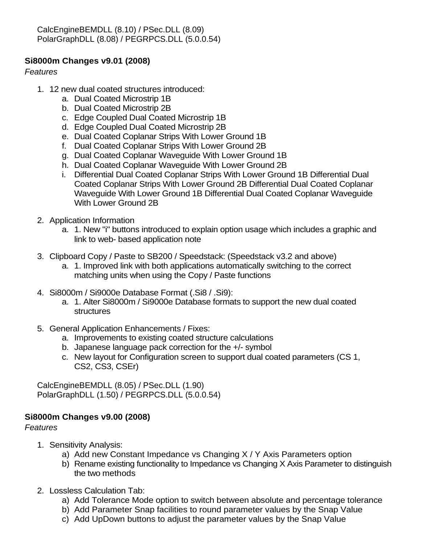CalcEngineBEMDLL (8.10) / PSec.DLL (8.09) PolarGraphDLL (8.08) / PEGRPCS.DLL (5.0.0.54)

### **Si8000m Changes v9.01 (2008)**

*Features*

- 1. 12 new dual coated structures introduced:
	- a. Dual Coated Microstrip 1B
	- b. Dual Coated Microstrip 2B
	- c. Edge Coupled Dual Coated Microstrip 1B
	- d. Edge Coupled Dual Coated Microstrip 2B
	- e. Dual Coated Coplanar Strips With Lower Ground 1B
	- f. Dual Coated Coplanar Strips With Lower Ground 2B
	- g. Dual Coated Coplanar Waveguide With Lower Ground 1B
	- h. Dual Coated Coplanar Waveguide With Lower Ground 2B
	- i. Differential Dual Coated Coplanar Strips With Lower Ground 1B Differential Dual Coated Coplanar Strips With Lower Ground 2B Differential Dual Coated Coplanar Waveguide With Lower Ground 1B Differential Dual Coated Coplanar Waveguide With Lower Ground 2B
- 2. Application Information
	- a. 1. New "i" buttons introduced to explain option usage which includes a graphic and link to web- based application note
- 3. Clipboard Copy / Paste to SB200 / Speedstack: (Speedstack v3.2 and above)
	- a. 1. Improved link with both applications automatically switching to the correct matching units when using the Copy / Paste functions
- 4. Si8000m / Si9000e Database Format (.Si8 / .Si9):
	- a. 1. Alter Si8000m / Si9000e Database formats to support the new dual coated structures
- 5. General Application Enhancements / Fixes:
	- a. Improvements to existing coated structure calculations
	- b. Japanese language pack correction for the +/- symbol
	- c. New layout for Configuration screen to support dual coated parameters (CS 1, CS2, CS3, CSEr)

CalcEngineBEMDLL (8.05) / PSec.DLL (1.90) PolarGraphDLL (1.50) / PEGRPCS.DLL (5.0.0.54)

# **Si8000m Changes v9.00 (2008)**

- 1. Sensitivity Analysis:
	- a) Add new Constant Impedance vs Changing X / Y Axis Parameters option
	- b) Rename existing functionality to Impedance vs Changing X Axis Parameter to distinguish the two methods
- 2. Lossless Calculation Tab:
	- a) Add Tolerance Mode option to switch between absolute and percentage tolerance
	- b) Add Parameter Snap facilities to round parameter values by the Snap Value
	- c) Add UpDown buttons to adjust the parameter values by the Snap Value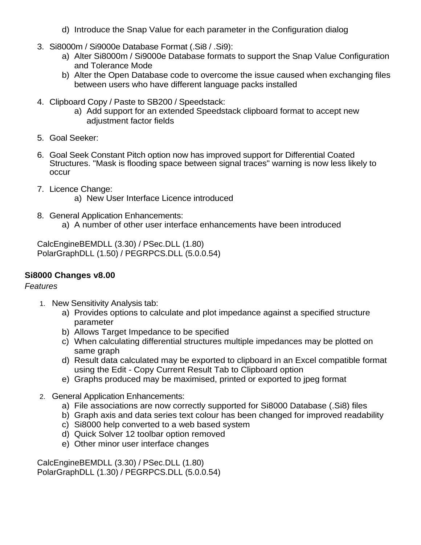- d) Introduce the Snap Value for each parameter in the Configuration dialog
- 3. Si8000m / Si9000e Database Format (.Si8 / .Si9):
	- a) Alter Si8000m / Si9000e Database formats to support the Snap Value Configuration and Tolerance Mode
	- b) Alter the Open Database code to overcome the issue caused when exchanging files between users who have different language packs installed
- 4. Clipboard Copy / Paste to SB200 / Speedstack:
	- a) Add support for an extended Speedstack clipboard format to accept new adjustment factor fields
- 5. Goal Seeker:
- 6. Goal Seek Constant Pitch option now has improved support for Differential Coated Structures. "Mask is flooding space between signal traces" warning is now less likely to occur
- 7. Licence Change:
	- a) New User Interface Licence introduced
- 8. General Application Enhancements: a) A number of other user interface enhancements have been introduced

CalcEngineBEMDLL (3.30) / PSec.DLL (1.80) PolarGraphDLL (1.50) / PEGRPCS.DLL (5.0.0.54)

# **Si8000 Changes v8.00**

# *Features*

- 1. New Sensitivity Analysis tab:
	- a) Provides options to calculate and plot impedance against a specified structure parameter
	- b) Allows Target Impedance to be specified
	- c) When calculating differential structures multiple impedances may be plotted on same graph
	- d) Result data calculated may be exported to clipboard in an Excel compatible format using the Edit - Copy Current Result Tab to Clipboard option
	- e) Graphs produced may be maximised, printed or exported to jpeg format
- 2. General Application Enhancements:
	- a) File associations are now correctly supported for Si8000 Database (.Si8) files
	- b) Graph axis and data series text colour has been changed for improved readability
	- c) Si8000 help converted to a web based system
	- d) Quick Solver 12 toolbar option removed
	- e) Other minor user interface changes

CalcEngineBEMDLL (3.30) / PSec.DLL (1.80) PolarGraphDLL (1.30) / PEGRPCS.DLL (5.0.0.54)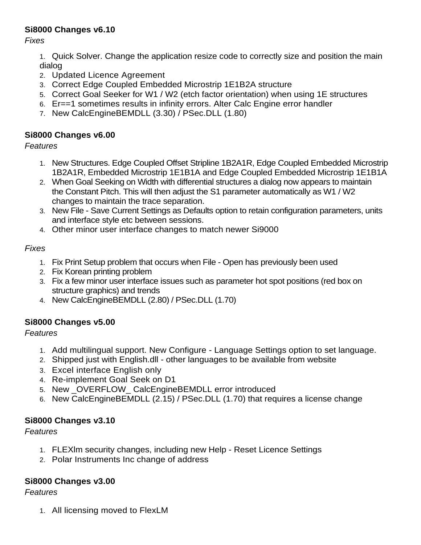# **Si8000 Changes v6.10**

*Fixes*

1. Quick Solver. Change the application resize code to correctly size and position the main dialog

- 2. Updated Licence Agreement
- 3. Correct Edge Coupled Embedded Microstrip 1E1B2A structure
- 5. Correct Goal Seeker for W1 / W2 (etch factor orientation) when using 1E structures
- 6. Er==1 sometimes results in infinity errors. Alter Calc Engine error handler
- 7. New CalcEngineBEMDLL (3.30) / PSec.DLL (1.80)

# **Si8000 Changes v6.00**

*Features*

- 1. New Structures. Edge Coupled Offset Stripline 1B2A1R, Edge Coupled Embedded Microstrip 1B2A1R, Embedded Microstrip 1E1B1A and Edge Coupled Embedded Microstrip 1E1B1A
- 2. When Goal Seeking on Width with differential structures a dialog now appears to maintain the Constant Pitch. This will then adjust the S1 parameter automatically as W1 / W2 changes to maintain the trace separation.
- 3. New File Save Current Settings as Defaults option to retain configuration parameters, units and interface style etc between sessions.
- 4. Other minor user interface changes to match newer Si9000

# *Fixes*

- 1. Fix Print Setup problem that occurs when File Open has previously been used
- 2. Fix Korean printing problem
- 3. Fix a few minor user interface issues such as parameter hot spot positions (red box on structure graphics) and trends
- 4. New CalcEngineBEMDLL (2.80) / PSec.DLL (1.70)

# **Si8000 Changes v5.00**

*Features*

- 1. Add multilingual support. New Configure Language Settings option to set language.
- 2. Shipped just with English.dll other languages to be available from website
- 3. Excel interface English only
- 4. Re-implement Goal Seek on D1
- 5. New \_OVERFLOW\_ CalcEngineBEMDLL error introduced
- 6. New CalcEngineBEMDLL (2.15) / PSec.DLL (1.70) that requires a license change

# **Si8000 Changes v3.10**

# *Features*

- 1. FLEXlm security changes, including new Help Reset Licence Settings
- 2. Polar Instruments Inc change of address

# **Si8000 Changes v3.00**

# *Features*

1. All licensing moved to FlexLM